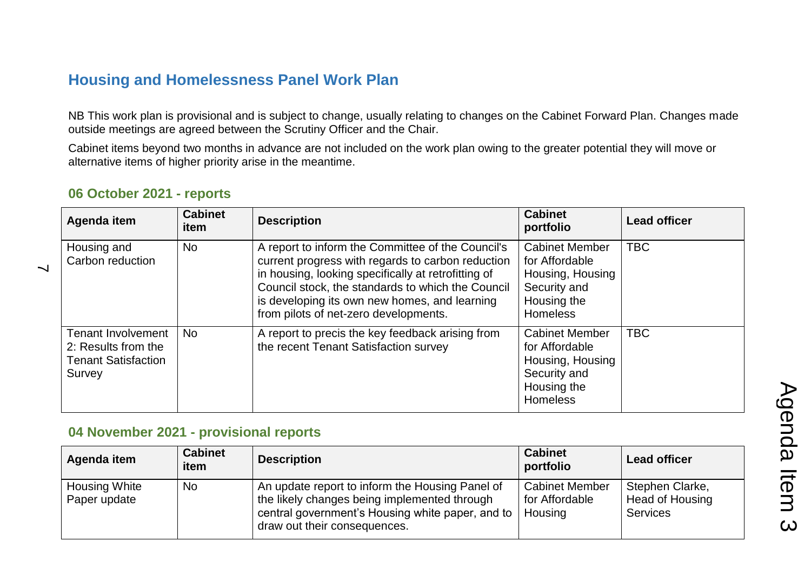## **Housing and Homelessness Panel Work Plan**

NB This work plan is provisional and is subject to change, usually relating to changes on the Cabinet Forward Plan. Changes made outside meetings are agreed between the Scrutiny Officer and the Chair.

Cabinet items beyond two months in advance are not included on the work plan owing to the greater potential they will move or alternative items of higher priority arise in the meantime.

| Agenda item                                                                              | <b>Cabinet</b><br>item | <b>Description</b>                                                                                                                                                                                                                                                                                           | <b>Cabinet</b><br>portfolio                                                                                   | <b>Lead officer</b> |
|------------------------------------------------------------------------------------------|------------------------|--------------------------------------------------------------------------------------------------------------------------------------------------------------------------------------------------------------------------------------------------------------------------------------------------------------|---------------------------------------------------------------------------------------------------------------|---------------------|
| Housing and<br>Carbon reduction                                                          | <b>No</b>              | A report to inform the Committee of the Council's<br>current progress with regards to carbon reduction<br>in housing, looking specifically at retrofitting of<br>Council stock, the standards to which the Council<br>is developing its own new homes, and learning<br>from pilots of net-zero developments. | <b>Cabinet Member</b><br>for Affordable<br>Housing, Housing<br>Security and<br>Housing the<br><b>Homeless</b> | <b>TBC</b>          |
| <b>Tenant Involvement</b><br>2: Results from the<br><b>Tenant Satisfaction</b><br>Survey | <b>No</b>              | A report to precis the key feedback arising from<br>the recent Tenant Satisfaction survey                                                                                                                                                                                                                    | <b>Cabinet Member</b><br>for Affordable<br>Housing, Housing<br>Security and<br>Housing the<br><b>Homeless</b> | <b>TBC</b>          |

## **06 October 2021 - reports**

 $\overline{\phantom{0}}$ 

## **04 November 2021 - provisional reports**

| Agenda item                          | <b>Cabinet</b><br>item | <b>Description</b>                                                                                                                                                                    | <b>Cabinet</b><br>portfolio                        | <b>Lead officer</b>                                   |
|--------------------------------------|------------------------|---------------------------------------------------------------------------------------------------------------------------------------------------------------------------------------|----------------------------------------------------|-------------------------------------------------------|
| <b>Housing White</b><br>Paper update | No                     | An update report to inform the Housing Panel of<br>the likely changes being implemented through<br>central government's Housing white paper, and to  <br>draw out their consequences. | <b>Cabinet Member</b><br>for Affordable<br>Housing | Stephen Clarke,<br>Head of Housing<br><b>Services</b> |